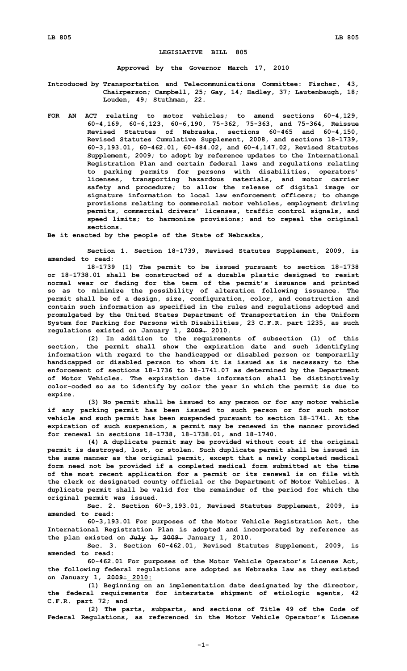## **LEGISLATIVE BILL 805**

**Approved by the Governor March 17, 2010**

**Introduced by Transportation and Telecommunications Committee: Fischer, 43, Chairperson; Campbell, 25; Gay, 14; Hadley, 37; Lautenbaugh, 18; Louden, 49; Stuthman, 22.**

**FOR AN ACT relating to motor vehicles; to amend sections 60-4,129, 60-4,169, 60-6,123, 60-6,190, 75-362, 75-363, and 75-364, Reissue Revised Statutes of Nebraska, sections 60-465 and 60-4,150, Revised Statutes Cumulative Supplement, 2008, and sections 18-1739, 60-3,193.01, 60-462.01, 60-484.02, and 60-4,147.02, Revised Statutes Supplement, 2009; to adopt by reference updates to the International Registration Plan and certain federal laws and regulations relating to parking permits for persons with disabilities, operators' licenses, transporting hazardous materials, and motor carrier safety and procedure; to allow the release of digital image or signature information to local law enforcement officers; to change provisions relating to commercial motor vehicles, employment driving permits, commercial drivers' licenses, traffic control signals, and speed limits; to harmonize provisions; and to repeal the original sections.**

**Be it enacted by the people of the State of Nebraska,**

**Section 1. Section 18-1739, Revised Statutes Supplement, 2009, is amended to read:**

**18-1739 (1) The permit to be issued pursuant to section 18-1738 or 18-1738.01 shall be constructed of <sup>a</sup> durable plastic designed to resist normal wear or fading for the term of the permit's issuance and printed so as to minimize the possibility of alteration following issuance. The permit shall be of <sup>a</sup> design, size, configuration, color, and construction and contain such information as specified in the rules and regulations adopted and promulgated by the United States Department of Transportation in the Uniform System for Parking for Persons with Disabilities, 23 C.F.R. part 1235, as such regulations existed on January 1, 2009. 2010.**

**(2) In addition to the requirements of subsection (1) of this section, the permit shall show the expiration date and such identifying information with regard to the handicapped or disabled person or temporarily handicapped or disabled person to whom it is issued as is necessary to the enforcement of sections 18-1736 to 18-1741.07 as determined by the Department of Motor Vehicles. The expiration date information shall be distinctively color-coded so as to identify by color the year in which the permit is due to expire.**

**(3) No permit shall be issued to any person or for any motor vehicle if any parking permit has been issued to such person or for such motor vehicle and such permit has been suspended pursuant to section 18-1741. At the expiration of such suspension, <sup>a</sup> permit may be renewed in the manner provided for renewal in sections 18-1738, 18-1738.01, and 18-1740.**

**(4) <sup>A</sup> duplicate permit may be provided without cost if the original permit is destroyed, lost, or stolen. Such duplicate permit shall be issued in the same manner as the original permit, except that <sup>a</sup> newly completed medical form need not be provided if <sup>a</sup> completed medical form submitted at the time of the most recent application for <sup>a</sup> permit or its renewal is on file with the clerk or designated county official or the Department of Motor Vehicles. A duplicate permit shall be valid for the remainder of the period for which the original permit was issued.**

**Sec. 2. Section 60-3,193.01, Revised Statutes Supplement, 2009, is amended to read:**

**60-3,193.01 For purposes of the Motor Vehicle Registration Act, the International Registration Plan is adopted and incorporated by reference as the plan existed on July 1, 2009. January 1, 2010.**

**Sec. 3. Section 60-462.01, Revised Statutes Supplement, 2009, is amended to read:**

**60-462.01 For purposes of the Motor Vehicle Operator's License Act, the following federal regulations are adopted as Nebraska law as they existed on January 1, 2009: 2010:**

**(1) Beginning on an implementation date designated by the director, the federal requirements for interstate shipment of etiologic agents, 42 C.F.R. part 72; and**

**(2) The parts, subparts, and sections of Title 49 of the Code of Federal Regulations, as referenced in the Motor Vehicle Operator's License**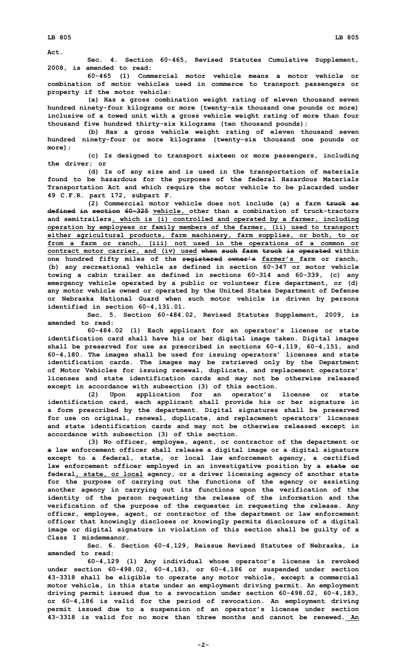**Act.**

**Sec. 4. Section 60-465, Revised Statutes Cumulative Supplement, 2008, is amended to read:**

**60-465 (1) Commercial motor vehicle means <sup>a</sup> motor vehicle or combination of motor vehicles used in commerce to transport passengers or property if the motor vehicle:**

**(a) Has <sup>a</sup> gross combination weight rating of eleven thousand seven hundred ninety-four kilograms or more (twenty-six thousand one pounds or more) inclusive of <sup>a</sup> towed unit with <sup>a</sup> gross vehicle weight rating of more than four thousand five hundred thirty-six kilograms (ten thousand pounds);**

**(b) Has <sup>a</sup> gross vehicle weight rating of eleven thousand seven hundred ninety-four or more kilograms (twenty-six thousand one pounds or more);**

**(c) Is designed to transport sixteen or more passengers, including the driver; or**

**(d) Is of any size and is used in the transportation of materials found to be hazardous for the purposes of the federal Hazardous Materials Transportation Act and which require the motor vehicle to be placarded under 49 C.F.R. part 172, subpart F.**

**(2) Commercial motor vehicle does not include (a) <sup>a</sup> farm truck as defined in section 60-325 vehicle, other than <sup>a</sup> combination of truck-tractors and semitrailers, which is (i) controlled and operated by <sup>a</sup> farmer, including operation by employees or family members of the farmer, (ii) used to transport either agricultural products, farm machinery, farm supplies, or both, to or from <sup>a</sup> farm or ranch, (iii) not used in the operations of <sup>a</sup> common or contract motor carrier, and (iv) used when such farm truck is operated within one hundred fifty miles of the registered owner's farmer's farm or ranch, (b) any recreational vehicle as defined in section 60-347 or motor vehicle towing <sup>a</sup> cabin trailer as defined in sections 60-314 and 60-339, (c) any emergency vehicle operated by <sup>a</sup> public or volunteer fire department, or (d) any motor vehicle owned or operated by the United States Department of Defense or Nebraska National Guard when such motor vehicle is driven by persons identified in section 60-4,131.01.**

**Sec. 5. Section 60-484.02, Revised Statutes Supplement, 2009, is amended to read:**

**60-484.02 (1) Each applicant for an operator's license or state identification card shall have his or her digital image taken. Digital images shall be preserved for use as prescribed in sections 60-4,119, 60-4,151, and 60-4,180. The images shall be used for issuing operators' licenses and state identification cards. The images may be retrieved only by the Department of Motor Vehicles for issuing renewal, duplicate, and replacement operators' licenses and state identification cards and may not be otherwise released except in accordance with subsection (3) of this section.**

**(2) Upon application for an operator's license or state identification card, each applicant shall provide his or her signature in <sup>a</sup> form prescribed by the department. Digital signatures shall be preserved for use on original, renewal, duplicate, and replacement operators' licenses and state identification cards and may not be otherwise released except in accordance with subsection (3) of this section.**

**(3) No officer, employee, agent, or contractor of the department or <sup>a</sup> law enforcement officer shall release <sup>a</sup> digital image or <sup>a</sup> digital signature except to <sup>a</sup> federal, state, or local law enforcement agency, <sup>a</sup> certified law enforcement officer employed in an investigative position by <sup>a</sup> state or federal, state, or local agency, or <sup>a</sup> driver licensing agency of another state for the purpose of carrying out the functions of the agency or assisting another agency in carrying out its functions upon the verification of the identity of the person requesting the release of the information and the verification of the purpose of the requester in requesting the release. Any officer, employee, agent, or contractor of the department or law enforcement officer that knowingly discloses or knowingly permits disclosure of <sup>a</sup> digital image or digital signature in violation of this section shall be guilty of <sup>a</sup> Class I misdemeanor.**

**Sec. 6. Section 60-4,129, Reissue Revised Statutes of Nebraska, is amended to read:**

**60-4,129 (1) Any individual whose operator's license is revoked under section 60-498.02, 60-4,183, or 60-4,186 or suspended under section 43-3318 shall be eligible to operate any motor vehicle, except <sup>a</sup> commercial motor vehicle, in this state under an employment driving permit. An employment driving permit issued due to <sup>a</sup> revocation under section 60-498.02, 60-4,183, or 60-4,186 is valid for the period of revocation. An employment driving permit issued due to <sup>a</sup> suspension of an operator's license under section 43-3318 is valid for no more than three months and cannot be renewed. An**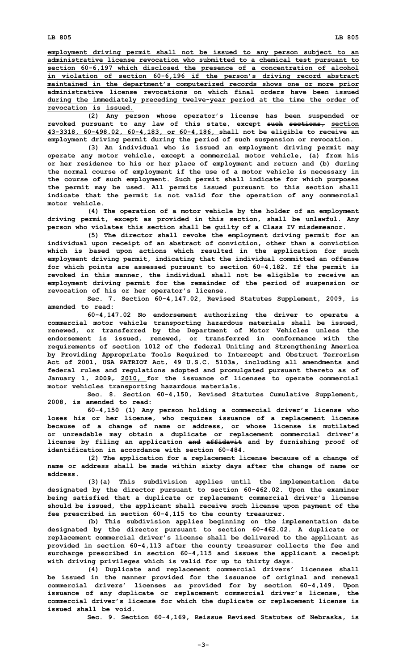**employment driving permit shall not be issued to any person subject to an administrative license revocation who submitted to <sup>a</sup> chemical test pursuant to section 60-6,197 which disclosed the presence of <sup>a</sup> concentration of alcohol in violation of section 60-6,196 if the person's driving record abstract maintained in the department's computerized records shows one or more prior administrative license revocations on which final orders have been issued during the immediately preceding twelve-year period at the time the order of revocation is issued.**

**(2) Any person whose operator's license has been suspended or revoked pursuant to any law of this state, except such sections, section 43-3318, 60-498.02, 60-4,183, or 60-4,186, shall not be eligible to receive an employment driving permit during the period of such suspension or revocation.**

**(3) An individual who is issued an employment driving permit may operate any motor vehicle, except <sup>a</sup> commercial motor vehicle, (a) from his or her residence to his or her place of employment and return and (b) during the normal course of employment if the use of <sup>a</sup> motor vehicle is necessary in the course of such employment. Such permit shall indicate for which purposes the permit may be used. All permits issued pursuant to this section shall indicate that the permit is not valid for the operation of any commercial motor vehicle.**

**(4) The operation of <sup>a</sup> motor vehicle by the holder of an employment driving permit, except as provided in this section, shall be unlawful. Any person who violates this section shall be guilty of <sup>a</sup> Class IV misdemeanor.**

**(5) The director shall revoke the employment driving permit for an individual upon receipt of an abstract of conviction, other than <sup>a</sup> conviction which is based upon actions which resulted in the application for such employment driving permit, indicating that the individual committed an offense for which points are assessed pursuant to section 60-4,182. If the permit is revoked in this manner, the individual shall not be eligible to receive an employment driving permit for the remainder of the period of suspension or revocation of his or her operator's license.**

**Sec. 7. Section 60-4,147.02, Revised Statutes Supplement, 2009, is amended to read:**

**60-4,147.02 No endorsement authorizing the driver to operate <sup>a</sup> commercial motor vehicle transporting hazardous materials shall be issued, renewed, or transferred by the Department of Motor Vehicles unless the endorsement is issued, renewed, or transferred in conformance with the requirements of section 1012 of the federal Uniting and Strengthening America by Providing Appropriate Tools Required to Intercept and Obstruct Terrorism Act of 2001, USA PATRIOT Act, 49 U.S.C. 5103a, including all amendments and federal rules and regulations adopted and promulgated pursuant thereto as of January 1, 2009, 2010, for the issuance of licenses to operate commercial motor vehicles transporting hazardous materials.**

**Sec. 8. Section 60-4,150, Revised Statutes Cumulative Supplement, 2008, is amended to read:**

**60-4,150 (1) Any person holding <sup>a</sup> commercial driver's license who loses his or her license, who requires issuance of <sup>a</sup> replacement license because of <sup>a</sup> change of name or address, or whose license is mutilated or unreadable may obtain <sup>a</sup> duplicate or replacement commercial driver's license by filing an application and affidavit and by furnishing proof of identification in accordance with section 60-484.**

**(2) The application for <sup>a</sup> replacement license because of <sup>a</sup> change of name or address shall be made within sixty days after the change of name or address.**

**(3)(a) This subdivision applies until the implementation date designated by the director pursuant to section 60-462.02. Upon the examiner being satisfied that <sup>a</sup> duplicate or replacement commercial driver's license should be issued, the applicant shall receive such license upon payment of the fee prescribed in section 60-4,115 to the county treasurer.**

**(b) This subdivision applies beginning on the implementation date designated by the director pursuant to section 60-462.02. <sup>A</sup> duplicate or replacement commercial driver's license shall be delivered to the applicant as provided in section 60-4,113 after the county treasurer collects the fee and surcharge prescribed in section 60-4,115 and issues the applicant <sup>a</sup> receipt with driving privileges which is valid for up to thirty days.**

**(4) Duplicate and replacement commercial drivers' licenses shall be issued in the manner provided for the issuance of original and renewal commercial drivers' licenses as provided for by section 60-4,149. Upon issuance of any duplicate or replacement commercial driver's license, the commercial driver's license for which the duplicate or replacement license is issued shall be void.**

**Sec. 9. Section 60-4,169, Reissue Revised Statutes of Nebraska, is**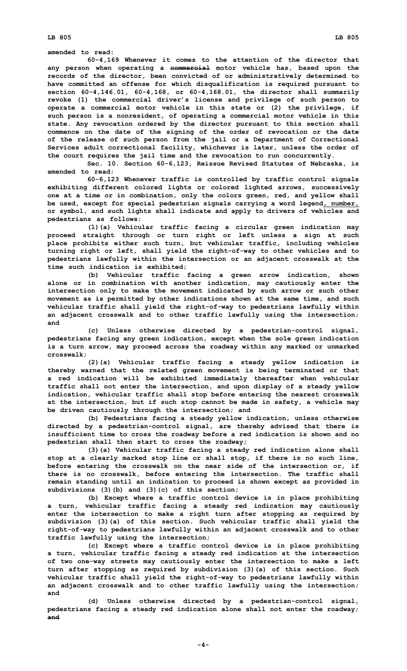**amended to read:**

**60-4,169 Whenever it comes to the attention of the director that any person when operating <sup>a</sup> commercial motor vehicle has, based upon the records of the director, been convicted of or administratively determined to have committed an offense for which disqualification is required pursuant to section 60-4,146.01, 60-4,168, or 60-4,168.01, the director shall summarily revoke (1) the commercial driver's license and privilege of such person to operate <sup>a</sup> commercial motor vehicle in this state or (2) the privilege, if such person is <sup>a</sup> nonresident, of operating <sup>a</sup> commercial motor vehicle in this state. Any revocation ordered by the director pursuant to this section shall commence on the date of the signing of the order of revocation or the date of the release of such person from the jail or <sup>a</sup> Department of Correctional Services adult correctional facility, whichever is later, unless the order of the court requires the jail time and the revocation to run concurrently.**

**Sec. 10. Section 60-6,123, Reissue Revised Statutes of Nebraska, is amended to read:**

**60-6,123 Whenever traffic is controlled by traffic control signals exhibiting different colored lights or colored lighted arrows, successively one at <sup>a</sup> time or in combination, only the colors green, red, and yellow shall be used, except for special pedestrian signals carrying <sup>a</sup> word legend, number, or symbol, and such lights shall indicate and apply to drivers of vehicles and pedestrians as follows:**

**(1)(a) Vehicular traffic facing <sup>a</sup> circular green indication may proceed straight through or turn right or left unless <sup>a</sup> sign at such place prohibits either such turn, but vehicular traffic, including vehicles turning right or left, shall yield the right-of-way to other vehicles and to pedestrians lawfully within the intersection or an adjacent crosswalk at the time such indication is exhibited;**

**(b) Vehicular traffic facing <sup>a</sup> green arrow indication, shown alone or in combination with another indication, may cautiously enter the intersection only to make the movement indicated by such arrow or such other movement as is permitted by other indications shown at the same time, and such vehicular traffic shall yield the right-of-way to pedestrians lawfully within an adjacent crosswalk and to other traffic lawfully using the intersection; and**

**(c) Unless otherwise directed by <sup>a</sup> pedestrian-control signal, pedestrians facing any green indication, except when the sole green indication is <sup>a</sup> turn arrow, may proceed across the roadway within any marked or unmarked crosswalk;**

**(2)(a) Vehicular traffic facing <sup>a</sup> steady yellow indication is thereby warned that the related green movement is being terminated or that <sup>a</sup> red indication will be exhibited immediately thereafter when vehicular traffic shall not enter the intersection, and upon display of <sup>a</sup> steady yellow indication, vehicular traffic shall stop before entering the nearest crosswalk at the intersection, but if such stop cannot be made in safety, <sup>a</sup> vehicle may be driven cautiously through the intersection; and**

**(b) Pedestrians facing <sup>a</sup> steady yellow indication, unless otherwise directed by <sup>a</sup> pedestrian-control signal, are thereby advised that there is insufficient time to cross the roadway before <sup>a</sup> red indication is shown and no pedestrian shall then start to cross the roadway;**

**(3)(a) Vehicular traffic facing <sup>a</sup> steady red indication alone shall stop at <sup>a</sup> clearly marked stop line or shall stop, if there is no such line, before entering the crosswalk on the near side of the intersection or, if there is no crosswalk, before entering the intersection. The traffic shall remain standing until an indication to proceed is shown except as provided in subdivisions (3)(b) and (3)(c) of this section;**

**(b) Except where <sup>a</sup> traffic control device is in place prohibiting <sup>a</sup> turn, vehicular traffic facing <sup>a</sup> steady red indication may cautiously enter the intersection to make <sup>a</sup> right turn after stopping as required by subdivision (3)(a) of this section. Such vehicular traffic shall yield the right-of-way to pedestrians lawfully within an adjacent crosswalk and to other traffic lawfully using the intersection;**

**(c) Except where <sup>a</sup> traffic control device is in place prohibiting <sup>a</sup> turn, vehicular traffic facing <sup>a</sup> steady red indication at the intersection of two one-way streets may cautiously enter the intersection to make <sup>a</sup> left turn after stopping as required by subdivision (3)(a) of this section. Such vehicular traffic shall yield the right-of-way to pedestrians lawfully within an adjacent crosswalk and to other traffic lawfully using the intersection; and**

**(d) Unless otherwise directed by <sup>a</sup> pedestrian-control signal, pedestrians facing <sup>a</sup> steady red indication alone shall not enter the roadway; and**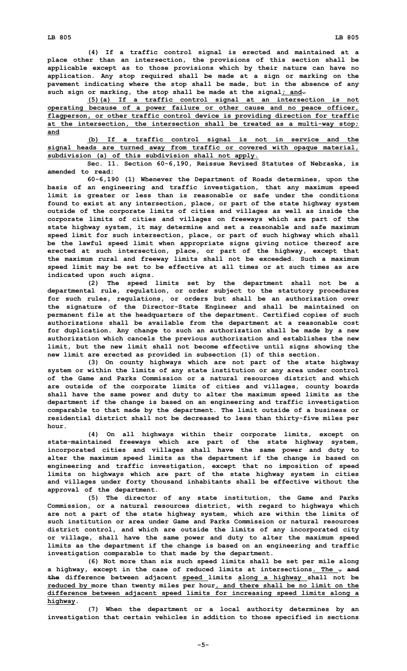**(4) If <sup>a</sup> traffic control signal is erected and maintained at <sup>a</sup> place other than an intersection, the provisions of this section shall be applicable except as to those provisions which by their nature can have no application. Any stop required shall be made at <sup>a</sup> sign or marking on the pavement indicating where the stop shall be made, but in the absence of any such sign or marking, the stop shall be made at the signal; and.**

**(5)(a) If <sup>a</sup> traffic control signal at an intersection is not operating because of <sup>a</sup> power failure or other cause and no peace officer, flagperson, or other traffic control device is providing direction for traffic at the intersection, the intersection shall be treated as <sup>a</sup> multi-way stop; and**

**(b) If <sup>a</sup> traffic control signal is not in service and the signal heads are turned away from traffic or covered with opaque material, subdivision (a) of this subdivision shall not apply.**

**Sec. 11. Section 60-6,190, Reissue Revised Statutes of Nebraska, is amended to read:**

**60-6,190 (1) Whenever the Department of Roads determines, upon the basis of an engineering and traffic investigation, that any maximum speed limit is greater or less than is reasonable or safe under the conditions found to exist at any intersection, place, or part of the state highway system outside of the corporate limits of cities and villages as well as inside the corporate limits of cities and villages on freeways which are part of the state highway system, it may determine and set <sup>a</sup> reasonable and safe maximum speed limit for such intersection, place, or part of such highway which shall be the lawful speed limit when appropriate signs giving notice thereof are erected at such intersection, place, or part of the highway, except that the maximum rural and freeway limits shall not be exceeded. Such <sup>a</sup> maximum speed limit may be set to be effective at all times or at such times as are indicated upon such signs.**

**(2) The speed limits set by the department shall not be <sup>a</sup> departmental rule, regulation, or order subject to the statutory procedures for such rules, regulations, or orders but shall be an authorization over the signature of the Director-State Engineer and shall be maintained on permanent file at the headquarters of the department. Certified copies of such authorizations shall be available from the department at <sup>a</sup> reasonable cost for duplication. Any change to such an authorization shall be made by <sup>a</sup> new authorization which cancels the previous authorization and establishes the new limit, but the new limit shall not become effective until signs showing the new limit are erected as provided in subsection (1) of this section.**

**(3) On county highways which are not part of the state highway system or within the limits of any state institution or any area under control of the Game and Parks Commission or a natural resources district and which are outside of the corporate limits of cities and villages, county boards shall have the same power and duty to alter the maximum speed limits as the department if the change is based on an engineering and traffic investigation comparable to that made by the department. The limit outside of <sup>a</sup> business or residential district shall not be decreased to less than thirty-five miles per hour.**

**(4) On all highways within their corporate limits, except on state-maintained freeways which are part of the state highway system, incorporated cities and villages shall have the same power and duty to alter the maximum speed limits as the department if the change is based on engineering and traffic investigation, except that no imposition of speed limits on highways which are part of the state highway system in cities and villages under forty thousand inhabitants shall be effective without the approval of the department.**

**(5) The director of any state institution, the Game and Parks Commission, or <sup>a</sup> natural resources district, with regard to highways which are not <sup>a</sup> part of the state highway system, which are within the limits of such institution or area under Game and Parks Commission or natural resources district control, and which are outside the limits of any incorporated city or village, shall have the same power and duty to alter the maximum speed limits as the department if the change is based on an engineering and traffic investigation comparable to that made by the department.**

**(6) Not more than six such speed limits shall be set per mile along <sup>a</sup> highway, except in the case of reduced limits at intersections. The , and the difference between adjacent speed limits along <sup>a</sup> highway shall not be reduced by more than twenty miles per hour, and there shall be no limit on the difference between adjacent speed limits for increasing speed limits along <sup>a</sup> highway.**

**(7) When the department or <sup>a</sup> local authority determines by an investigation that certain vehicles in addition to those specified in sections**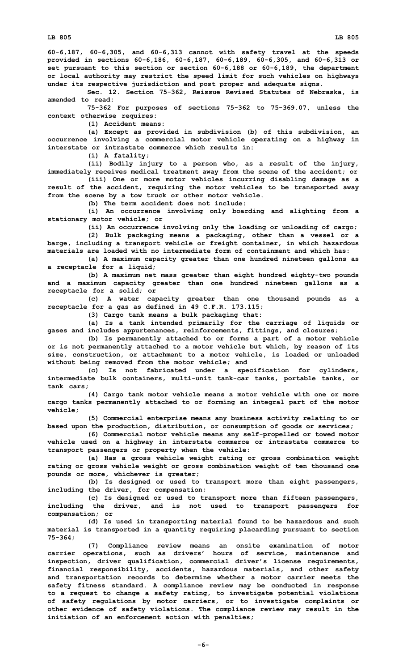**60-6,187, 60-6,305, and 60-6,313 cannot with safety travel at the speeds provided in sections 60-6,186, 60-6,187, 60-6,189, 60-6,305, and 60-6,313 or set pursuant to this section or section 60-6,188 or 60-6,189, the department or local authority may restrict the speed limit for such vehicles on highways under its respective jurisdiction and post proper and adequate signs.**

**Sec. 12. Section 75-362, Reissue Revised Statutes of Nebraska, is amended to read:**

**75-362 For purposes of sections 75-362 to 75-369.07, unless the context otherwise requires:**

**(1) Accident means:**

**(a) Except as provided in subdivision (b) of this subdivision, an occurrence involving <sup>a</sup> commercial motor vehicle operating on <sup>a</sup> highway in interstate or intrastate commerce which results in:**

**(i) <sup>A</sup> fatality;**

**(ii) Bodily injury to <sup>a</sup> person who, as <sup>a</sup> result of the injury, immediately receives medical treatment away from the scene of the accident; or**

**(iii) One or more motor vehicles incurring disabling damage as <sup>a</sup> result of the accident, requiring the motor vehicles to be transported away from the scene by <sup>a</sup> tow truck or other motor vehicle.**

**(b) The term accident does not include:**

**(i) An occurrence involving only boarding and alighting from <sup>a</sup> stationary motor vehicle; or**

**(ii) An occurrence involving only the loading or unloading of cargo; (2) Bulk packaging means <sup>a</sup> packaging, other than <sup>a</sup> vessel or <sup>a</sup> barge, including <sup>a</sup> transport vehicle or freight container, in which hazardous**

**materials are loaded with no intermediate form of containment and which has: (a) <sup>A</sup> maximum capacity greater than one hundred nineteen gallons as <sup>a</sup> receptacle for <sup>a</sup> liquid;**

**(b) <sup>A</sup> maximum net mass greater than eight hundred eighty-two pounds and <sup>a</sup> maximum capacity greater than one hundred nineteen gallons as <sup>a</sup> receptacle for <sup>a</sup> solid; or**

**(c) <sup>A</sup> water capacity greater than one thousand pounds as <sup>a</sup> receptacle for <sup>a</sup> gas as defined in 49 C.F.R. 173.115;**

**(3) Cargo tank means <sup>a</sup> bulk packaging that:**

**(a) Is <sup>a</sup> tank intended primarily for the carriage of liquids or gases and includes appurtenances, reinforcements, fittings, and closures;**

**(b) Is permanently attached to or forms <sup>a</sup> part of <sup>a</sup> motor vehicle or is not permanently attached to <sup>a</sup> motor vehicle but which, by reason of its size, construction, or attachment to <sup>a</sup> motor vehicle, is loaded or unloaded without being removed from the motor vehicle; and**

**(c) Is not fabricated under <sup>a</sup> specification for cylinders, intermediate bulk containers, multi-unit tank-car tanks, portable tanks, or tank cars;**

**(4) Cargo tank motor vehicle means <sup>a</sup> motor vehicle with one or more cargo tanks permanently attached to or forming an integral part of the motor vehicle;**

**(5) Commercial enterprise means any business activity relating to or based upon the production, distribution, or consumption of goods or services;**

**(6) Commercial motor vehicle means any self-propelled or towed motor vehicle used on <sup>a</sup> highway in interstate commerce or intrastate commerce to transport passengers or property when the vehicle:**

**(a) Has <sup>a</sup> gross vehicle weight rating or gross combination weight rating or gross vehicle weight or gross combination weight of ten thousand one pounds or more, whichever is greater;**

**(b) Is designed or used to transport more than eight passengers, including the driver, for compensation;**

**(c) Is designed or used to transport more than fifteen passengers, including the driver, and is not used to transport passengers for compensation; or**

**(d) Is used in transporting material found to be hazardous and such material is transported in <sup>a</sup> quantity requiring placarding pursuant to section 75-364;**

**(7) Compliance review means an onsite examination of motor carrier operations, such as drivers' hours of service, maintenance and inspection, driver qualification, commercial driver's license requirements, financial responsibility, accidents, hazardous materials, and other safety and transportation records to determine whether <sup>a</sup> motor carrier meets the safety fitness standard. A compliance review may be conducted in response to <sup>a</sup> request to change <sup>a</sup> safety rating, to investigate potential violations of safety regulations by motor carriers, or to investigate complaints or other evidence of safety violations. The compliance review may result in the initiation of an enforcement action with penalties;**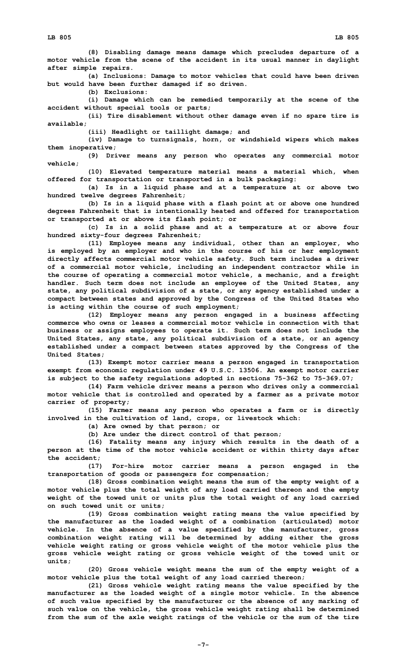**(8) Disabling damage means damage which precludes departure of <sup>a</sup> motor vehicle from the scene of the accident in its usual manner in daylight after simple repairs.**

**(a) Inclusions: Damage to motor vehicles that could have been driven but would have been further damaged if so driven.**

**(b) Exclusions:**

**(i) Damage which can be remedied temporarily at the scene of the accident without special tools or parts;**

**(ii) Tire disablement without other damage even if no spare tire is available;**

**(iii) Headlight or taillight damage; and**

**(iv) Damage to turnsignals, horn, or windshield wipers which makes them inoperative;**

**(9) Driver means any person who operates any commercial motor vehicle;**

**(10) Elevated temperature material means <sup>a</sup> material which, when offered for transportation or transported in <sup>a</sup> bulk packaging:**

**(a) Is in <sup>a</sup> liquid phase and at <sup>a</sup> temperature at or above two hundred twelve degrees Fahrenheit;**

**(b) Is in <sup>a</sup> liquid phase with <sup>a</sup> flash point at or above one hundred degrees Fahrenheit that is intentionally heated and offered for transportation or transported at or above its flash point; or**

**(c) Is in <sup>a</sup> solid phase and at <sup>a</sup> temperature at or above four hundred sixty-four degrees Fahrenheit;**

**(11) Employee means any individual, other than an employer, who is employed by an employer and who in the course of his or her employment directly affects commercial motor vehicle safety. Such term includes <sup>a</sup> driver of <sup>a</sup> commercial motor vehicle, including an independent contractor while in the course of operating <sup>a</sup> commercial motor vehicle, <sup>a</sup> mechanic, and <sup>a</sup> freight handler. Such term does not include an employee of the United States, any state, any political subdivision of <sup>a</sup> state, or any agency established under <sup>a</sup> compact between states and approved by the Congress of the United States who is acting within the course of such employment;**

**(12) Employer means any person engaged in <sup>a</sup> business affecting commerce who owns or leases a commercial motor vehicle in connection with that business or assigns employees to operate it. Such term does not include the United States, any state, any political subdivision of <sup>a</sup> state, or an agency established under <sup>a</sup> compact between states approved by the Congress of the United States;**

**(13) Exempt motor carrier means <sup>a</sup> person engaged in transportation exempt from economic regulation under 49 U.S.C. 13506. An exempt motor carrier is subject to the safety regulations adopted in sections 75-362 to 75-369.07;**

**(14) Farm vehicle driver means <sup>a</sup> person who drives only <sup>a</sup> commercial motor vehicle that is controlled and operated by <sup>a</sup> farmer as <sup>a</sup> private motor carrier of property;**

**(15) Farmer means any person who operates <sup>a</sup> farm or is directly involved in the cultivation of land, crops, or livestock which:**

**(a) Are owned by that person; or**

**(b) Are under the direct control of that person;**

**(16) Fatality means any injury which results in the death of <sup>a</sup> person at the time of the motor vehicle accident or within thirty days after the accident;**

**(17) For-hire motor carrier means <sup>a</sup> person engaged in the transportation of goods or passengers for compensation;**

**(18) Gross combination weight means the sum of the empty weight of <sup>a</sup> motor vehicle plus the total weight of any load carried thereon and the empty weight of the towed unit or units plus the total weight of any load carried on such towed unit or units;**

**(19) Gross combination weight rating means the value specified by the manufacturer as the loaded weight of <sup>a</sup> combination (articulated) motor vehicle. In the absence of <sup>a</sup> value specified by the manufacturer, gross combination weight rating will be determined by adding either the gross vehicle weight rating or gross vehicle weight of the motor vehicle plus the gross vehicle weight rating or gross vehicle weight of the towed unit or units;**

**(20) Gross vehicle weight means the sum of the empty weight of <sup>a</sup> motor vehicle plus the total weight of any load carried thereon;**

**(21) Gross vehicle weight rating means the value specified by the manufacturer as the loaded weight of <sup>a</sup> single motor vehicle. In the absence of such value specified by the manufacturer or the absence of any marking of such value on the vehicle, the gross vehicle weight rating shall be determined from the sum of the axle weight ratings of the vehicle or the sum of the tire**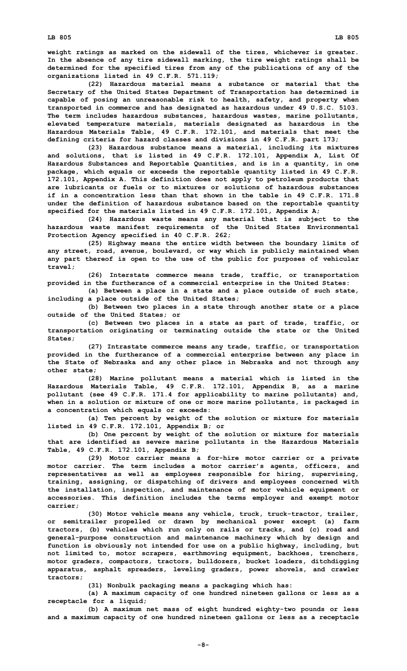**weight ratings as marked on the sidewall of the tires, whichever is greater. In the absence of any tire sidewall marking, the tire weight ratings shall be determined for the specified tires from any of the publications of any of the organizations listed in 49 C.F.R. 571.119;**

**(22) Hazardous material means <sup>a</sup> substance or material that the Secretary of the United States Department of Transportation has determined is capable of posing an unreasonable risk to health, safety, and property when transported in commerce and has designated as hazardous under 49 U.S.C. 5103. The term includes hazardous substances, hazardous wastes, marine pollutants, elevated temperature materials, materials designated as hazardous in the Hazardous Materials Table, 49 C.F.R. 172.101, and materials that meet the defining criteria for hazard classes and divisions in 49 C.F.R. part 173;**

**(23) Hazardous substance means <sup>a</sup> material, including its mixtures and solutions, that is listed in 49 C.F.R. 172.101, Appendix A, List Of Hazardous Substances and Reportable Quantities, and is in <sup>a</sup> quantity, in one package, which equals or exceeds the reportable quantity listed in 49 C.F.R. 172.101, Appendix A. This definition does not apply to petroleum products that are lubricants or fuels or to mixtures or solutions of hazardous substances if in a concentration less than that shown in the table in 49 C.F.R. 171.8 under the definition of hazardous substance based on the reportable quantity specified for the materials listed in 49 C.F.R. 172.101, Appendix A;**

**(24) Hazardous waste means any material that is subject to the hazardous waste manifest requirements of the United States Environmental Protection Agency specified in 40 C.F.R. 262;**

**(25) Highway means the entire width between the boundary limits of any street, road, avenue, boulevard, or way which is publicly maintained when any part thereof is open to the use of the public for purposes of vehicular travel;**

**(26) Interstate commerce means trade, traffic, or transportation provided in the furtherance of <sup>a</sup> commercial enterprise in the United States:**

**(a) Between <sup>a</sup> place in <sup>a</sup> state and <sup>a</sup> place outside of such state, including <sup>a</sup> place outside of the United States;**

**(b) Between two places in <sup>a</sup> state through another state or <sup>a</sup> place outside of the United States; or**

**(c) Between two places in <sup>a</sup> state as part of trade, traffic, or transportation originating or terminating outside the state or the United States;**

**(27) Intrastate commerce means any trade, traffic, or transportation provided in the furtherance of <sup>a</sup> commercial enterprise between any place in the State of Nebraska and any other place in Nebraska and not through any other state;**

**(28) Marine pollutant means <sup>a</sup> material which is listed in the Hazardous Materials Table, 49 C.F.R. 172.101, Appendix B, as <sup>a</sup> marine pollutant (see 49 C.F.R. 171.4 for applicability to marine pollutants) and, when in <sup>a</sup> solution or mixture of one or more marine pollutants, is packaged in <sup>a</sup> concentration which equals or exceeds:**

**(a) Ten percent by weight of the solution or mixture for materials listed in 49 C.F.R. 172.101, Appendix B; or**

**(b) One percent by weight of the solution or mixture for materials that are identified as severe marine pollutants in the Hazardous Materials Table, 49 C.F.R. 172.101, Appendix B;**

**(29) Motor carrier means <sup>a</sup> for-hire motor carrier or <sup>a</sup> private motor carrier. The term includes <sup>a</sup> motor carrier's agents, officers, and representatives as well as employees responsible for hiring, supervising, training, assigning, or dispatching of drivers and employees concerned with the installation, inspection, and maintenance of motor vehicle equipment or accessories. This definition includes the terms employer and exempt motor carrier;**

**(30) Motor vehicle means any vehicle, truck, truck-tractor, trailer, or semitrailer propelled or drawn by mechanical power except (a) farm tractors, (b) vehicles which run only on rails or tracks, and (c) road and general-purpose construction and maintenance machinery which by design and function is obviously not intended for use on <sup>a</sup> public highway, including, but not limited to, motor scrapers, earthmoving equipment, backhoes, trenchers, motor graders, compactors, tractors, bulldozers, bucket loaders, ditchdigging apparatus, asphalt spreaders, leveling graders, power shovels, and crawler tractors;**

**(31) Nonbulk packaging means <sup>a</sup> packaging which has:**

**(a) <sup>A</sup> maximum capacity of one hundred nineteen gallons or less as <sup>a</sup> receptacle for <sup>a</sup> liquid;**

**(b) <sup>A</sup> maximum net mass of eight hundred eighty-two pounds or less and <sup>a</sup> maximum capacity of one hundred nineteen gallons or less as <sup>a</sup> receptacle**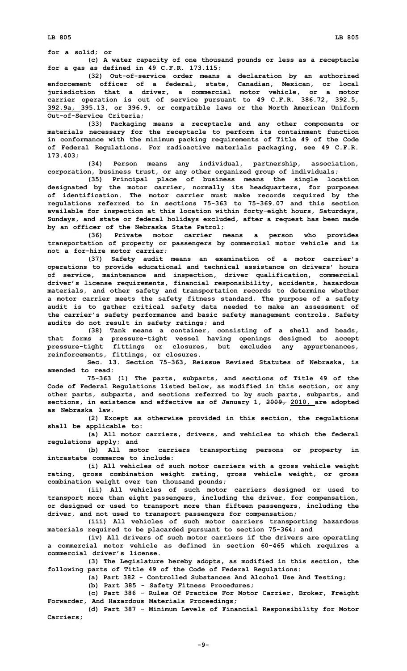**for <sup>a</sup> solid; or**

**(c) <sup>A</sup> water capacity of one thousand pounds or less as <sup>a</sup> receptacle for <sup>a</sup> gas as defined in 49 C.F.R. 173.115;**

**(32) Out-of-service order means <sup>a</sup> declaration by an authorized enforcement officer of <sup>a</sup> federal, state, Canadian, Mexican, or local jurisdiction that <sup>a</sup> driver, <sup>a</sup> commercial motor vehicle, or <sup>a</sup> motor carrier operation is out of service pursuant to 49 C.F.R. 386.72, 392.5, 392.9a, 395.13, or 396.9, or compatible laws or the North American Uniform Out-of-Service Criteria;**

**(33) Packaging means <sup>a</sup> receptacle and any other components or materials necessary for the receptacle to perform its containment function in conformance with the minimum packing requirements of Title 49 of the Code of Federal Regulations. For radioactive materials packaging, see 49 C.F.R. 173.403;**

**(34) Person means any individual, partnership, association, corporation, business trust, or any other organized group of individuals;**

**(35) Principal place of business means the single location designated by the motor carrier, normally its headquarters, for purposes of identification. The motor carrier must make records required by the regulations referred to in sections 75-363 to 75-369.07 and this section available for inspection at this location within forty-eight hours, Saturdays, Sundays, and state or federal holidays excluded, after <sup>a</sup> request has been made by an officer of the Nebraska State Patrol;**

**(36) Private motor carrier means <sup>a</sup> person who provides transportation of property or passengers by commercial motor vehicle and is not <sup>a</sup> for-hire motor carrier;**

**(37) Safety audit means an examination of <sup>a</sup> motor carrier's operations to provide educational and technical assistance on drivers' hours of service, maintenance and inspection, driver qualification, commercial driver's license requirements, financial responsibility, accidents, hazardous materials, and other safety and transportation records to determine whether <sup>a</sup> motor carrier meets the safety fitness standard. The purpose of <sup>a</sup> safety audit is to gather critical safety data needed to make an assessment of the carrier's safety performance and basic safety management controls. Safety audits do not result in safety ratings; and**

**(38) Tank means <sup>a</sup> container, consisting of <sup>a</sup> shell and heads, that forms <sup>a</sup> pressure-tight vessel having openings designed to accept pressure-tight fittings or closures, but excludes any appurtenances, reinforcements, fittings, or closures.**

**Sec. 13. Section 75-363, Reissue Revised Statutes of Nebraska, is amended to read:**

**75-363 (1) The parts, subparts, and sections of Title 49 of the Code of Federal Regulations listed below, as modified in this section, or any other parts, subparts, and sections referred to by such parts, subparts, and sections, in existence and effective as of January 1, 2009, 2010, are adopted as Nebraska law.**

**(2) Except as otherwise provided in this section, the regulations shall be applicable to:**

**(a) All motor carriers, drivers, and vehicles to which the federal regulations apply; and**

**(b) All motor carriers transporting persons or property in intrastate commerce to include:**

**(i) All vehicles of such motor carriers with <sup>a</sup> gross vehicle weight rating, gross combination weight rating, gross vehicle weight, or gross combination weight over ten thousand pounds;**

**(ii) All vehicles of such motor carriers designed or used to transport more than eight passengers, including the driver, for compensation, or designed or used to transport more than fifteen passengers, including the driver, and not used to transport passengers for compensation;**

**(iii) All vehicles of such motor carriers transporting hazardous materials required to be placarded pursuant to section 75-364; and**

**(iv) All drivers of such motor carriers if the drivers are operating <sup>a</sup> commercial motor vehicle as defined in section 60-465 which requires <sup>a</sup> commercial driver's license.**

**(3) The Legislature hereby adopts, as modified in this section, the following parts of Title 49 of the Code of Federal Regulations:**

**(a) Part 382 - Controlled Substances And Alcohol Use And Testing;**

**(b) Part 385 - Safety Fitness Procedures;**

**(c) Part 386 - Rules Of Practice For Motor Carrier, Broker, Freight Forwarder, And Hazardous Materials Proceedings;**

**(d) Part 387 - Minimum Levels of Financial Responsibility for Motor Carriers;**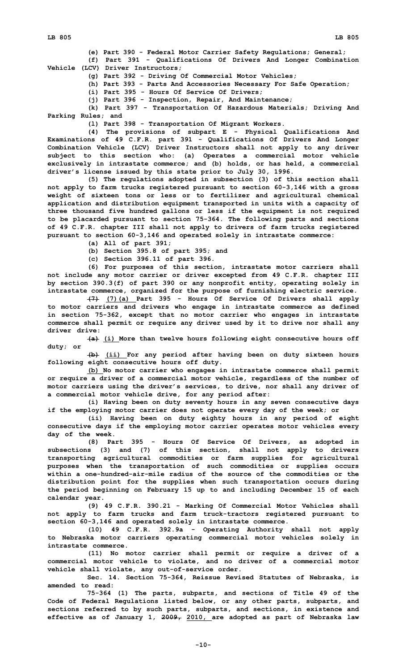**(e) Part 390 - Federal Motor Carrier Safety Regulations; General;**

**(f) Part 391 - Qualifications Of Drivers And Longer Combination Vehicle (LCV) Driver Instructors;**

- **(g) Part 392 - Driving Of Commercial Motor Vehicles;**
- **(h) Part 393 - Parts And Accessories Necessary For Safe Operation;**

**(i) Part 395 - Hours Of Service Of Drivers;**

**(j) Part 396 - Inspection, Repair, And Maintenance;**

**(k) Part 397 - Transportation Of Hazardous Materials; Driving And Parking Rules; and**

**(l) Part 398 - Transportation Of Migrant Workers.**

**(4) The provisions of subpart <sup>E</sup> - Physical Qualifications And Examinations of 49 C.F.R. part 391 - Qualifications Of Drivers And Longer Combination Vehicle (LCV) Driver Instructors shall not apply to any driver subject to this section who: (a) Operates <sup>a</sup> commercial motor vehicle exclusively in intrastate commerce; and (b) holds, or has held, <sup>a</sup> commercial driver's license issued by this state prior to July 30, 1996.**

**(5) The regulations adopted in subsection (3) of this section shall not apply to farm trucks registered pursuant to section 60-3,146 with <sup>a</sup> gross weight of sixteen tons or less or to fertilizer and agricultural chemical application and distribution equipment transported in units with <sup>a</sup> capacity of three thousand five hundred gallons or less if the equipment is not required to be placarded pursuant to section 75-364. The following parts and sections of 49 C.F.R. chapter III shall not apply to drivers of farm trucks registered pursuant to section 60-3,146 and operated solely in intrastate commerce:**

**(a) All of part 391;**

**(b) Section 395.8 of part 395; and**

**(c) Section 396.11 of part 396.**

**(6) For purposes of this section, intrastate motor carriers shall not include any motor carrier or driver excepted from 49 C.F.R. chapter III by section 390.3(f) of part 390 or any nonprofit entity, operating solely in intrastate commerce, organized for the purpose of furnishing electric service.**

**(7) (7)(a) Part 395 - Hours Of Service Of Drivers shall apply to motor carriers and drivers who engage in intrastate commerce as defined in section 75-362, except that no motor carrier who engages in intrastate commerce shall permit or require any driver used by it to drive nor shall any driver drive:**

**(a) (i) More than twelve hours following eight consecutive hours off duty; or**

**(b) (ii) For any period after having been on duty sixteen hours following eight consecutive hours off duty.**

**(b) No motor carrier who engages in intrastate commerce shall permit or require <sup>a</sup> driver of <sup>a</sup> commercial motor vehicle, regardless of the number of motor carriers using the driver's services, to drive, nor shall any driver of <sup>a</sup> commercial motor vehicle drive, for any period after:**

**(i) Having been on duty seventy hours in any seven consecutive days if the employing motor carrier does not operate every day of the week; or**

**(ii) Having been on duty eighty hours in any period of eight consecutive days if the employing motor carrier operates motor vehicles every day of the week.**

**(8) Part 395 - Hours Of Service Of Drivers, as adopted in subsections (3) and (7) of this section, shall not apply to drivers transporting agricultural commodities or farm supplies for agricultural purposes when the transportation of such commodities or supplies occurs within a one-hundred-air-mile radius of the source of the commodities or the distribution point for the supplies when such transportation occurs during the period beginning on February 15 up to and including December 15 of each calendar year.**

**(9) 49 C.F.R. 390.21 - Marking Of Commercial Motor Vehicles shall not apply to farm trucks and farm truck-tractors registered pursuant to section 60-3,146 and operated solely in intrastate commerce.**

**(10) 49 C.F.R. 392.9a - Operating Authority shall not apply to Nebraska motor carriers operating commercial motor vehicles solely in intrastate commerce.**

**(11) No motor carrier shall permit or require <sup>a</sup> driver of <sup>a</sup> commercial motor vehicle to violate, and no driver of <sup>a</sup> commercial motor vehicle shall violate, any out-of-service order.**

**Sec. 14. Section 75-364, Reissue Revised Statutes of Nebraska, is amended to read:**

**75-364 (1) The parts, subparts, and sections of Title 49 of the Code of Federal Regulations listed below, or any other parts, subparts, and sections referred to by such parts, subparts, and sections, in existence and effective as of January 1, 2009, 2010, are adopted as part of Nebraska law**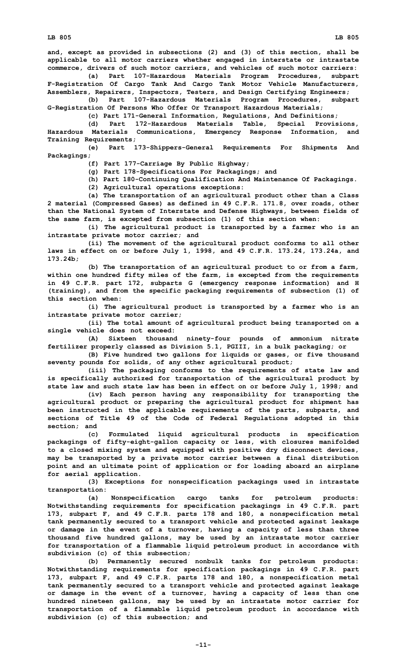**LB 805 LB 805**

**and, except as provided in subsections (2) and (3) of this section, shall be applicable to all motor carriers whether engaged in interstate or intrastate commerce, drivers of such motor carriers, and vehicles of such motor carriers:**

**(a) Part 107-Hazardous Materials Program Procedures, subpart F-Registration Of Cargo Tank And Cargo Tank Motor Vehicle Manufacturers, Assemblers, Repairers, Inspectors, Testers, and Design Certifying Engineers;**

**(b) Part 107-Hazardous Materials Program Procedures, subpart G-Registration Of Persons Who Offer Or Transport Hazardous Materials;**

**(c) Part 171-General Information, Regulations, And Definitions;**

**(d) Part 172-Hazardous Materials Table, Special Provisions, Hazardous Materials Communications, Emergency Response Information, and Training Requirements;**

**(e) Part 173-Shippers-General Requirements For Shipments And Packagings;**

**(f) Part 177-Carriage By Public Highway;**

**(g) Part 178-Specifications For Packagings; and**

**(h) Part 180-Continuing Qualification And Maintenance Of Packagings.**

**(2) Agricultural operations exceptions:**

**(a) The transportation of an agricultural product other than <sup>a</sup> Class 2 material (Compressed Gases) as defined in 49 C.F.R. 171.8, over roads, other than the National System of Interstate and Defense Highways, between fields of the same farm, is excepted from subsection (1) of this section when:**

**(i) The agricultural product is transported by <sup>a</sup> farmer who is an intrastate private motor carrier; and**

**(ii) The movement of the agricultural product conforms to all other laws in effect on or before July 1, 1998, and 49 C.F.R. 173.24, 173.24a, and 173.24b;**

**(b) The transportation of an agricultural product to or from <sup>a</sup> farm, within one hundred fifty miles of the farm, is excepted from the requirements in 49 C.F.R. part 172, subparts G (emergency response information) and <sup>H</sup> (training), and from the specific packaging requirements of subsection (1) of this section when:**

**(i) The agricultural product is transported by <sup>a</sup> farmer who is an intrastate private motor carrier;**

**(ii) The total amount of agricultural product being transported on <sup>a</sup> single vehicle does not exceed:**

**(A) Sixteen thousand ninety-four pounds of ammonium nitrate fertilizer properly classed as Division 5.1, PGIII, in <sup>a</sup> bulk packaging; or**

**(B) Five hundred two gallons for liquids or gases, or five thousand seventy pounds for solids, of any other agricultural product;**

**(iii) The packaging conforms to the requirements of state law and is specifically authorized for transportation of the agricultural product by state law and such state law has been in effect on or before July 1, 1998; and**

**(iv) Each person having any responsibility for transporting the agricultural product or preparing the agricultural product for shipment has been instructed in the applicable requirements of the parts, subparts, and sections of Title 49 of the Code of Federal Regulations adopted in this section; and**

**(c) Formulated liquid agricultural products in specification packagings of fifty-eight-gallon capacity or less, with closures manifolded to <sup>a</sup> closed mixing system and equipped with positive dry disconnect devices, may be transported by <sup>a</sup> private motor carrier between <sup>a</sup> final distribution point and an ultimate point of application or for loading aboard an airplane for aerial application.**

**(3) Exceptions for nonspecification packagings used in intrastate transportation:**

**(a) Nonspecification cargo tanks for petroleum products: Notwithstanding requirements for specification packagings in 49 C.F.R. part 173, subpart F, and 49 C.F.R. parts 178 and 180, <sup>a</sup> nonspecification metal tank permanently secured to <sup>a</sup> transport vehicle and protected against leakage or damage in the event of <sup>a</sup> turnover, having <sup>a</sup> capacity of less than three thousand five hundred gallons, may be used by an intrastate motor carrier for transportation of <sup>a</sup> flammable liquid petroleum product in accordance with subdivision (c) of this subsection;**

**(b) Permanently secured nonbulk tanks for petroleum products: Notwithstanding requirements for specification packagings in 49 C.F.R. part 173, subpart F, and 49 C.F.R. parts 178 and 180, <sup>a</sup> nonspecification metal tank permanently secured to <sup>a</sup> transport vehicle and protected against leakage or damage in the event of <sup>a</sup> turnover, having <sup>a</sup> capacity of less than one hundred nineteen gallons, may be used by an intrastate motor carrier for transportation of <sup>a</sup> flammable liquid petroleum product in accordance with subdivision (c) of this subsection; and**